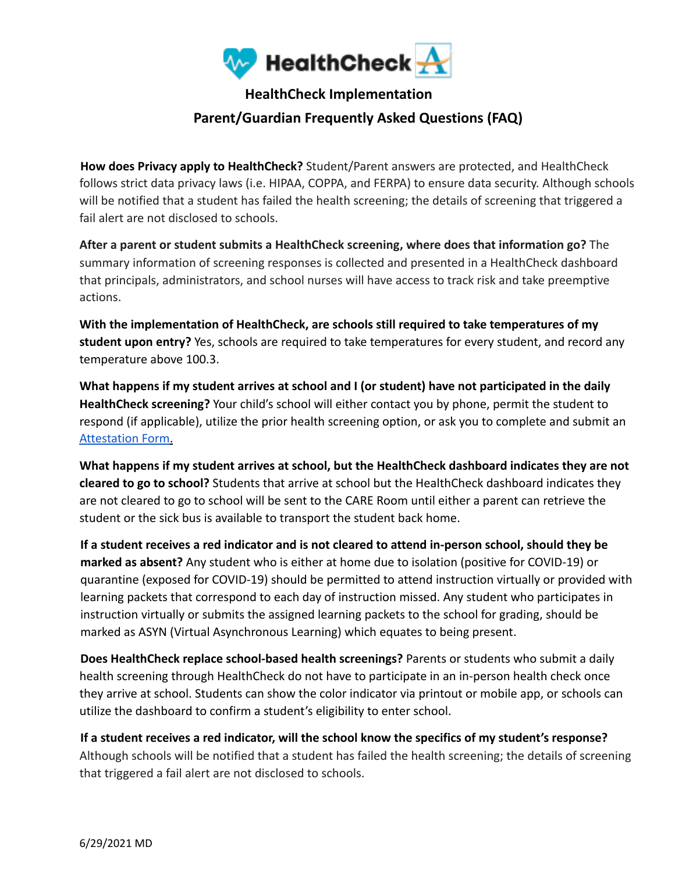

## **HealthCheck Implementation**

## **Parent/Guardian Frequently Asked Questions (FAQ)**

**How does Privacy apply to HealthCheck?** Student/Parent answers are protected, and HealthCheck follows strict data privacy laws (i.e. HIPAA, COPPA, and FERPA) to ensure data security. Although schools will be notified that a student has failed the health screening; the details of screening that triggered a fail alert are not disclosed to schools.

**After a parent or student submits a HealthCheck screening, where does that information go?** The summary information of screening responses is collected and presented in a HealthCheck dashboard that principals, administrators, and school nurses will have access to track risk and take preemptive actions.

**With the implementation of HealthCheck, are schools still required to take temperatures of my student upon entry?** Yes, schools are required to take temperatures for every student, and record any temperature above 100.3.

**What happens if my student arrives at school and I (or student) have not participated in the daily HealthCheck screening?** Your child's school will either contact you by phone, permit the student to respond (if applicable), utilize the prior health screening option, or ask you to complete and submit an Attestation Form.

**What happens if my student arrives at school, but the HealthCheck dashboard indicates they are not cleared to go to school?** Students that arrive at school but the HealthCheck dashboard indicates they are not cleared to go to school will be sent to the CARE Room until either a parent can retrieve the student or the sick bus is available to transport the student back home.

**If a student receives a red indicator and is not cleared to attend in-person school, should they be marked as absent?** Any student who is either at home due to isolation (positive for COVID-19) or quarantine (exposed for COVID-19) should be permitted to attend instruction virtually or provided with learning packets that correspond to each day of instruction missed. Any student who participates in instruction virtually or submits the assigned learning packets to the school for grading, should be marked as ASYN (Virtual Asynchronous Learning) which equates to being present.

**Does HealthCheck replace school-based health screenings?** Parents or students who submit a daily health screening through HealthCheck do not have to participate in an in-person health check once they arrive at school. Students can show the color indicator via printout or mobile app, or schools can utilize the dashboard to confirm a student's eligibility to enter school.

**If a student receives a red indicator, will the school know the specifics of my student's response?** Although schools will be notified that a student has failed the health screening; the details of screening that triggered a fail alert are not disclosed to schools.